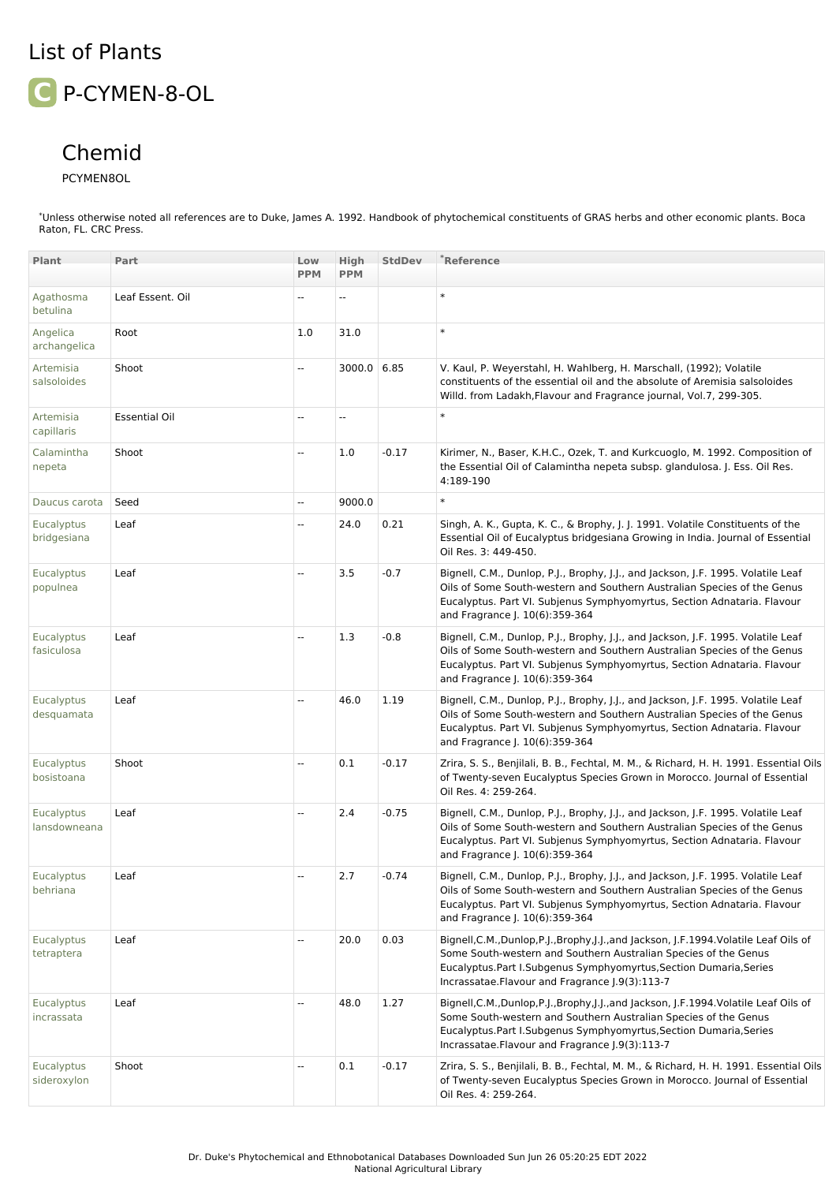## List of Plants

**C** P-CYMEN-8-OL

## Chemid

## PCYMEN8OL

\*Unless otherwise noted all references are to Duke, James A. 1992. Handbook of phytochemical constituents of GRAS herbs and other economic plants. Boca Raton, FL. CRC Press.

| Plant                             | Part                 | Low<br><b>PPM</b>        | <b>High</b><br><b>PPM</b> | <b>StdDev</b> | *Reference                                                                                                                                                                                                                                                                        |
|-----------------------------------|----------------------|--------------------------|---------------------------|---------------|-----------------------------------------------------------------------------------------------------------------------------------------------------------------------------------------------------------------------------------------------------------------------------------|
|                                   |                      |                          |                           |               | $\ast$                                                                                                                                                                                                                                                                            |
| Agathosma<br>betulina             | Leaf Essent. Oil     |                          | ۵.                        |               |                                                                                                                                                                                                                                                                                   |
| Angelica<br>archangelica          | Root                 | 1.0                      | 31.0                      |               | $\ast$                                                                                                                                                                                                                                                                            |
| Artemisia<br>salsoloides          | Shoot                | --                       | 3000.0 6.85               |               | V. Kaul, P. Weyerstahl, H. Wahlberg, H. Marschall, (1992); Volatile<br>constituents of the essential oil and the absolute of Aremisia salsoloides<br>Willd. from Ladakh, Flavour and Fragrance journal, Vol. 7, 299-305.                                                          |
| Artemisia<br>capillaris           | <b>Essential Oil</b> | --                       | Ξ.                        |               | $\ast$                                                                                                                                                                                                                                                                            |
| Calamintha<br>nepeta              | Shoot                | --                       | 1.0                       | $-0.17$       | Kirimer, N., Baser, K.H.C., Ozek, T. and Kurkcuoglo, M. 1992. Composition of<br>the Essential Oil of Calamintha nepeta subsp. glandulosa. J. Ess. Oil Res.<br>4:189-190                                                                                                           |
| Daucus carota                     | Seed                 | --                       | 9000.0                    |               | $\ast$                                                                                                                                                                                                                                                                            |
| Eucalyptus<br>bridgesiana         | Leaf                 | --                       | 24.0                      | 0.21          | Singh, A. K., Gupta, K. C., & Brophy, J. J. 1991. Volatile Constituents of the<br>Essential Oil of Eucalyptus bridgesiana Growing in India. Journal of Essential<br>Oil Res. 3: 449-450.                                                                                          |
| Eucalyptus<br>populnea            | Leaf                 | $\overline{\phantom{a}}$ | 3.5                       | $-0.7$        | Bignell, C.M., Dunlop, P.J., Brophy, J.J., and Jackson, J.F. 1995. Volatile Leaf<br>Oils of Some South-western and Southern Australian Species of the Genus<br>Eucalyptus. Part VI. Subjenus Symphyomyrtus, Section Adnataria. Flavour<br>and Fragrance J. 10(6):359-364          |
| Eucalyptus<br>fasiculosa          | Leaf                 | 44                       | 1.3                       | $-0.8$        | Bignell, C.M., Dunlop, P.J., Brophy, J.J., and Jackson, J.F. 1995. Volatile Leaf<br>Oils of Some South-western and Southern Australian Species of the Genus<br>Eucalyptus. Part VI. Subjenus Symphyomyrtus, Section Adnataria. Flavour<br>and Fragrance J. 10(6):359-364          |
| Eucalyptus<br>desquamata          | Leaf                 | ÷.                       | 46.0                      | 1.19          | Bignell, C.M., Dunlop, P.J., Brophy, J.J., and Jackson, J.F. 1995. Volatile Leaf<br>Oils of Some South-western and Southern Australian Species of the Genus<br>Eucalyptus. Part VI. Subjenus Symphyomyrtus, Section Adnataria. Flavour<br>and Fragrance J. 10(6):359-364          |
| Eucalyptus<br>bosistoana          | Shoot                | --                       | 0.1                       | $-0.17$       | Zrira, S. S., Benjilali, B. B., Fechtal, M. M., & Richard, H. H. 1991. Essential Oils<br>of Twenty-seven Eucalyptus Species Grown in Morocco. Journal of Essential<br>Oil Res. 4: 259-264.                                                                                        |
| <b>Eucalyptus</b><br>lansdowneana | Leaf                 | --                       | 2.4                       | $-0.75$       | Bignell, C.M., Dunlop, P.J., Brophy, J.J., and Jackson, J.F. 1995. Volatile Leaf<br>Oils of Some South-western and Southern Australian Species of the Genus<br>Eucalyptus. Part VI. Subjenus Symphyomyrtus, Section Adnataria. Flavour<br>and Fragrance J. 10(6):359-364          |
| Eucalyptus<br>behriana            | Leaf                 |                          | 2.7                       | $-0.74$       | Bignell, C.M., Dunlop, P.J., Brophy, J.J., and Jackson, J.F. 1995. Volatile Leaf<br>Oils of Some South-western and Southern Australian Species of the Genus<br>Eucalyptus. Part VI. Subjenus Symphyomyrtus, Section Adnataria. Flavour<br>and Fragrance J. 10(6):359-364          |
| <b>Eucalyptus</b><br>tetraptera   | Leaf                 | --                       | 20.0                      | 0.03          | Bignell, C.M., Dunlop, P.J., Brophy, J.J., and Jackson, J.F. 1994. Volatile Leaf Oils of<br>Some South-western and Southern Australian Species of the Genus<br>Eucalyptus.Part I.Subgenus Symphyomyrtus,Section Dumaria,Series<br>Incrassatae. Flavour and Fragrance (.9(3):113-7 |
| <b>Eucalyptus</b><br>incrassata   | Leaf                 | --                       | 48.0                      | 1.27          | Bignell,C.M.,Dunlop,P.J.,Brophy,J.J.,and Jackson, J.F.1994.Volatile Leaf Oils of<br>Some South-western and Southern Australian Species of the Genus<br>Eucalyptus.Part I.Subgenus Symphyomyrtus,Section Dumaria,Series<br>Incrassatae.Flavour and Fragrance J.9(3):113-7          |
| Eucalyptus<br>sideroxylon         | Shoot                | --                       | 0.1                       | $-0.17$       | Zrira, S. S., Benjilali, B. B., Fechtal, M. M., & Richard, H. H. 1991. Essential Oils<br>of Twenty-seven Eucalyptus Species Grown in Morocco. Journal of Essential<br>Oil Res. 4: 259-264.                                                                                        |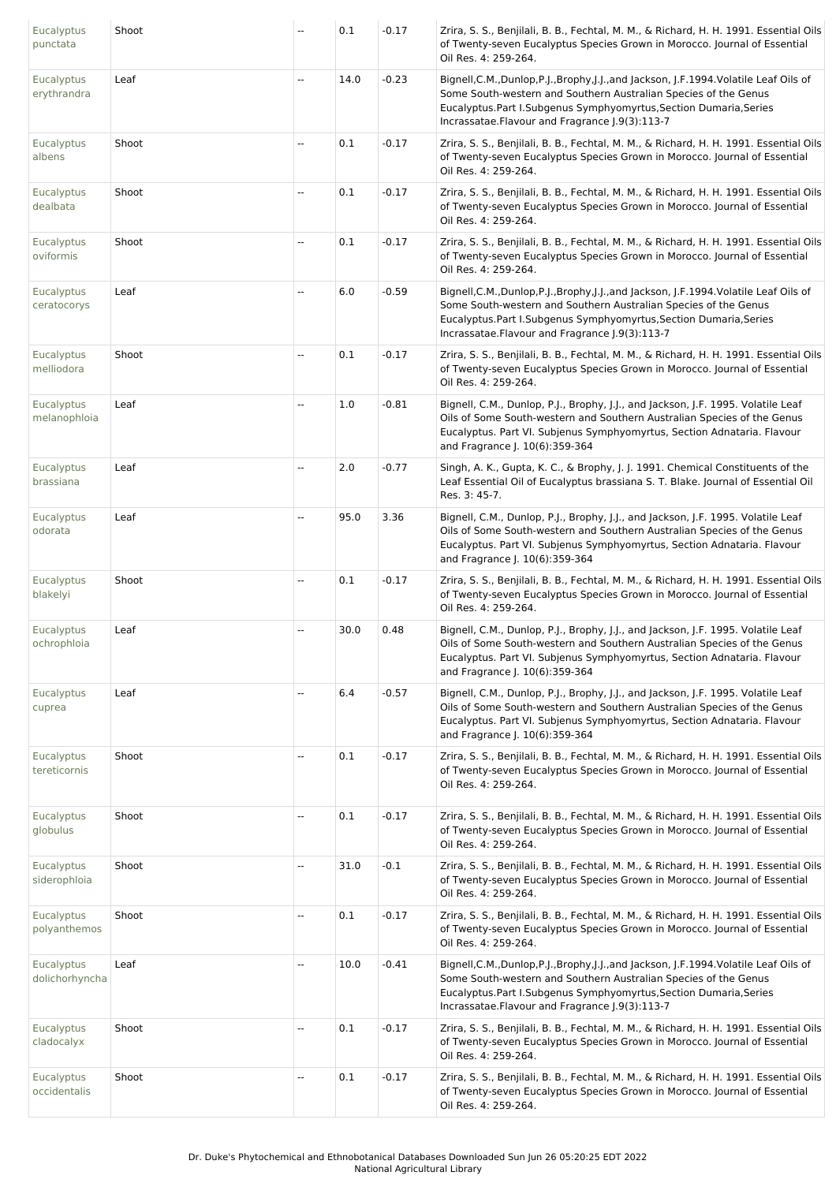| Eucalyptus<br>punctata            | Shoot | --                       | 0.1  | $-0.17$ | Zrira, S. S., Benjilali, B. B., Fechtal, M. M., & Richard, H. H. 1991. Essential Oils<br>of Twenty-seven Eucalyptus Species Grown in Morocco. Journal of Essential<br>Oil Res. 4: 259-264.                                                                                |
|-----------------------------------|-------|--------------------------|------|---------|---------------------------------------------------------------------------------------------------------------------------------------------------------------------------------------------------------------------------------------------------------------------------|
| <b>Eucalyptus</b><br>erythrandra  | Leaf  | --                       | 14.0 | $-0.23$ | Bignell,C.M.,Dunlop,P.J.,Brophy,J.J.,and Jackson, J.F.1994.Volatile Leaf Oils of<br>Some South-western and Southern Australian Species of the Genus<br>Eucalyptus.Part I.Subgenus Symphyomyrtus,Section Dumaria,Series<br>Incrassatae. Flavour and Fragrance [.9(3):113-7 |
| Eucalyptus<br>albens              | Shoot | Ξ.                       | 0.1  | $-0.17$ | Zrira, S. S., Benjilali, B. B., Fechtal, M. M., & Richard, H. H. 1991. Essential Oils<br>of Twenty-seven Eucalyptus Species Grown in Morocco. Journal of Essential<br>Oil Res. 4: 259-264.                                                                                |
| <b>Eucalyptus</b><br>dealbata     | Shoot | Ξ.                       | 0.1  | $-0.17$ | Zrira, S. S., Benjilali, B. B., Fechtal, M. M., & Richard, H. H. 1991. Essential Oils<br>of Twenty-seven Eucalyptus Species Grown in Morocco. Journal of Essential<br>Oil Res. 4: 259-264.                                                                                |
| Eucalyptus<br>oviformis           | Shoot | $\ddotsc$                | 0.1  | $-0.17$ | Zrira, S. S., Benjilali, B. B., Fechtal, M. M., & Richard, H. H. 1991. Essential Oils<br>of Twenty-seven Eucalyptus Species Grown in Morocco. Journal of Essential<br>Oil Res. 4: 259-264.                                                                                |
| <b>Eucalyptus</b><br>ceratocorys  | Leaf  | --                       | 6.0  | $-0.59$ | Bignell,C.M.,Dunlop,P.J.,Brophy,J.J.,and Jackson, J.F.1994.Volatile Leaf Oils of<br>Some South-western and Southern Australian Species of the Genus<br>Eucalyptus.Part I.Subgenus Symphyomyrtus,Section Dumaria,Series<br>Incrassatae.Flavour and Fragrance J.9(3):113-7  |
| Eucalyptus<br>melliodora          | Shoot | $\ddotsc$                | 0.1  | $-0.17$ | Zrira, S. S., Benjilali, B. B., Fechtal, M. M., & Richard, H. H. 1991. Essential Oils<br>of Twenty-seven Eucalyptus Species Grown in Morocco. Journal of Essential<br>Oil Res. 4: 259-264.                                                                                |
| <b>Eucalyptus</b><br>melanophloia | Leaf  | Ξ.                       | 1.0  | $-0.81$ | Bignell, C.M., Dunlop, P.J., Brophy, J.J., and Jackson, J.F. 1995. Volatile Leaf<br>Oils of Some South-western and Southern Australian Species of the Genus<br>Eucalyptus. Part VI. Subjenus Symphyomyrtus, Section Adnataria. Flavour<br>and Fragrance J. 10(6):359-364  |
| Eucalyptus<br>brassiana           | Leaf  | $\overline{a}$           | 2.0  | $-0.77$ | Singh, A. K., Gupta, K. C., & Brophy, J. J. 1991. Chemical Constituents of the<br>Leaf Essential Oil of Eucalyptus brassiana S. T. Blake. Journal of Essential Oil<br>Res. 3: 45-7.                                                                                       |
| Eucalyptus<br>odorata             | Leaf  | Ξ.                       | 95.0 | 3.36    | Bignell, C.M., Dunlop, P.J., Brophy, J.J., and Jackson, J.F. 1995. Volatile Leaf<br>Oils of Some South-western and Southern Australian Species of the Genus<br>Eucalyptus. Part VI. Subjenus Symphyomyrtus, Section Adnataria. Flavour<br>and Fragrance J. 10(6):359-364  |
| Eucalyptus<br>blakelyi            | Shoot | Ξ.                       | 0.1  | $-0.17$ | Zrira, S. S., Benjilali, B. B., Fechtal, M. M., & Richard, H. H. 1991. Essential Oils<br>of Twenty-seven Eucalyptus Species Grown in Morocco. Journal of Essential<br>Oil Res. 4: 259-264.                                                                                |
| Eucalyptus<br>ochrophloia         | Leaf  | $\overline{a}$           | 30.0 | 0.48    | Bignell, C.M., Dunlop, P.J., Brophy, J.J., and Jackson, J.F. 1995. Volatile Leaf<br>Oils of Some South-western and Southern Australian Species of the Genus<br>Eucalyptus. Part VI. Subjenus Symphyomyrtus, Section Adnataria. Flavour<br>and Fragrance J. 10(6):359-364  |
| Eucalyptus<br>cuprea              | Leaf  | $\ddotsc$                | 6.4  | $-0.57$ | Bignell, C.M., Dunlop, P.J., Brophy, J.J., and Jackson, J.F. 1995. Volatile Leaf<br>Oils of Some South-western and Southern Australian Species of the Genus<br>Eucalyptus. Part VI. Subjenus Symphyomyrtus, Section Adnataria. Flavour<br>and Fragrance J. 10(6):359-364  |
| Eucalyptus<br>tereticornis        | Shoot | --                       | 0.1  | $-0.17$ | Zrira, S. S., Benjilali, B. B., Fechtal, M. M., & Richard, H. H. 1991. Essential Oils<br>of Twenty-seven Eucalyptus Species Grown in Morocco. Journal of Essential<br>Oil Res. 4: 259-264.                                                                                |
| Eucalyptus<br>globulus            | Shoot | Ξ.                       | 0.1  | $-0.17$ | Zrira, S. S., Benjilali, B. B., Fechtal, M. M., & Richard, H. H. 1991. Essential Oils<br>of Twenty-seven Eucalyptus Species Grown in Morocco. Journal of Essential<br>Oil Res. 4: 259-264.                                                                                |
| <b>Eucalyptus</b><br>siderophloia | Shoot | $\ddotsc$                | 31.0 | $-0.1$  | Zrira, S. S., Benjilali, B. B., Fechtal, M. M., & Richard, H. H. 1991. Essential Oils<br>of Twenty-seven Eucalyptus Species Grown in Morocco. Journal of Essential<br>Oil Res. 4: 259-264.                                                                                |
| Eucalyptus<br>polyanthemos        | Shoot | Ξ.                       | 0.1  | $-0.17$ | Zrira, S. S., Benjilali, B. B., Fechtal, M. M., & Richard, H. H. 1991. Essential Oils<br>of Twenty-seven Eucalyptus Species Grown in Morocco. Journal of Essential<br>Oil Res. 4: 259-264.                                                                                |
| Eucalyptus<br>dolichorhyncha      | Leaf  | --                       | 10.0 | $-0.41$ | Bignell,C.M.,Dunlop,P.J.,Brophy,J.J.,and Jackson, J.F.1994.Volatile Leaf Oils of<br>Some South-western and Southern Australian Species of the Genus<br>Eucalyptus.Part I.Subgenus Symphyomyrtus,Section Dumaria,Series<br>Incrassatae.Flavour and Fragrance J.9(3):113-7  |
| Eucalyptus<br>cladocalyx          | Shoot | $\overline{\phantom{a}}$ | 0.1  | $-0.17$ | Zrira, S. S., Benjilali, B. B., Fechtal, M. M., & Richard, H. H. 1991. Essential Oils<br>of Twenty-seven Eucalyptus Species Grown in Morocco. Journal of Essential<br>Oil Res. 4: 259-264.                                                                                |
| Eucalyptus<br>occidentalis        | Shoot | $\overline{\phantom{a}}$ | 0.1  | $-0.17$ | Zrira, S. S., Benjilali, B. B., Fechtal, M. M., & Richard, H. H. 1991. Essential Oils<br>of Twenty-seven Eucalyptus Species Grown in Morocco. Journal of Essential<br>Oil Res. 4: 259-264.                                                                                |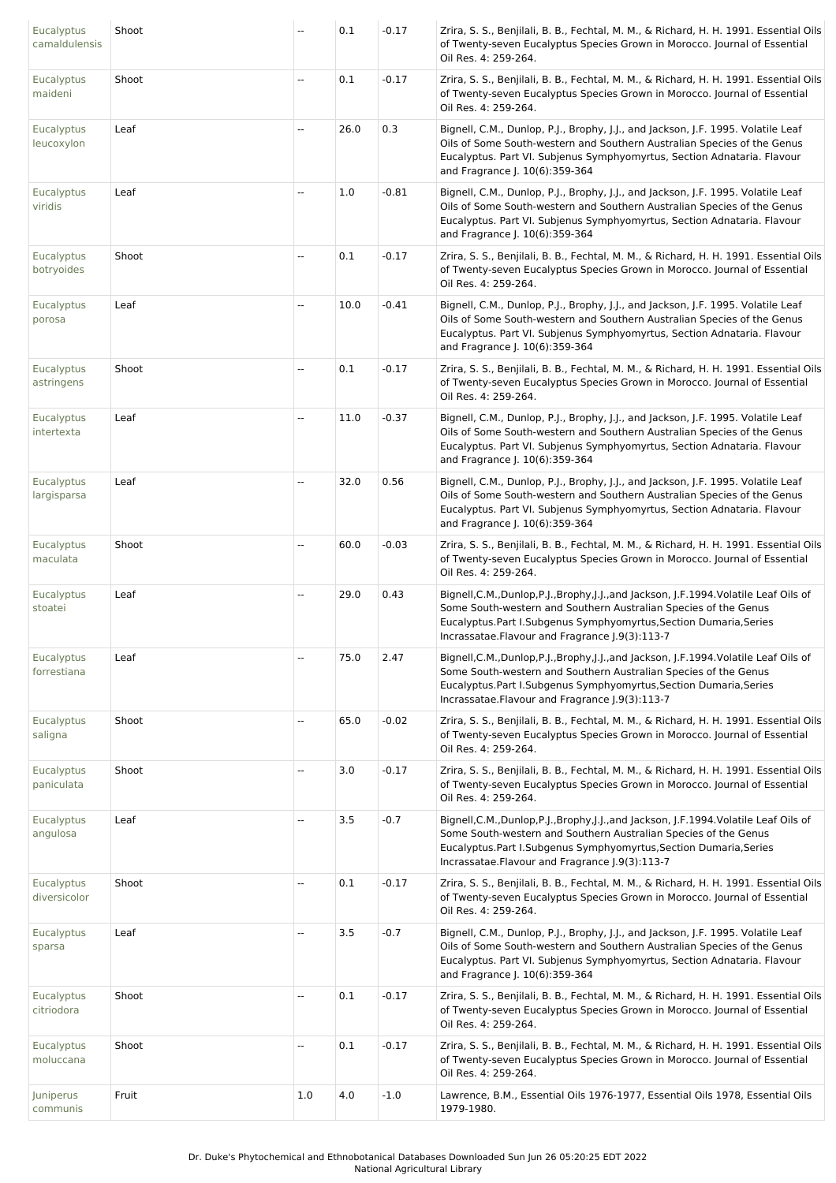| Eucalyptus<br>camaldulensis      | Shoot | --                       | 0.1  | $-0.17$ | Zrira, S. S., Benjilali, B. B., Fechtal, M. M., & Richard, H. H. 1991. Essential Oils<br>of Twenty-seven Eucalyptus Species Grown in Morocco. Journal of Essential<br>Oil Res. 4: 259-264.                                                                                       |
|----------------------------------|-------|--------------------------|------|---------|----------------------------------------------------------------------------------------------------------------------------------------------------------------------------------------------------------------------------------------------------------------------------------|
| <b>Eucalyptus</b><br>maideni     | Shoot | --                       | 0.1  | $-0.17$ | Zrira, S. S., Benjilali, B. B., Fechtal, M. M., & Richard, H. H. 1991. Essential Oils<br>of Twenty-seven Eucalyptus Species Grown in Morocco. Journal of Essential<br>Oil Res. 4: 259-264.                                                                                       |
| <b>Eucalyptus</b><br>leucoxylon  | Leaf  | $\ddotsc$                | 26.0 | 0.3     | Bignell, C.M., Dunlop, P.J., Brophy, J.J., and Jackson, J.F. 1995. Volatile Leaf<br>Oils of Some South-western and Southern Australian Species of the Genus<br>Eucalyptus. Part VI. Subjenus Symphyomyrtus, Section Adnataria. Flavour<br>and Fragrance J. 10(6):359-364         |
| Eucalyptus<br>viridis            | Leaf  | --                       | 1.0  | $-0.81$ | Bignell, C.M., Dunlop, P.J., Brophy, J.J., and Jackson, J.F. 1995. Volatile Leaf<br>Oils of Some South-western and Southern Australian Species of the Genus<br>Eucalyptus. Part VI. Subjenus Symphyomyrtus, Section Adnataria. Flavour<br>and Fragrance J. 10(6):359-364         |
| Eucalyptus<br>botryoides         | Shoot | Ξ.                       | 0.1  | $-0.17$ | Zrira, S. S., Benjilali, B. B., Fechtal, M. M., & Richard, H. H. 1991. Essential Oils<br>of Twenty-seven Eucalyptus Species Grown in Morocco. Journal of Essential<br>Oil Res. 4: 259-264.                                                                                       |
| Eucalyptus<br>porosa             | Leaf  | $\overline{a}$           | 10.0 | $-0.41$ | Bignell, C.M., Dunlop, P.J., Brophy, J.J., and Jackson, J.F. 1995. Volatile Leaf<br>Oils of Some South-western and Southern Australian Species of the Genus<br>Eucalyptus. Part VI. Subjenus Symphyomyrtus, Section Adnataria. Flavour<br>and Fragrance J. 10(6):359-364         |
| Eucalyptus<br>astringens         | Shoot | $\ddotsc$                | 0.1  | $-0.17$ | Zrira, S. S., Benjilali, B. B., Fechtal, M. M., & Richard, H. H. 1991. Essential Oils<br>of Twenty-seven Eucalyptus Species Grown in Morocco. Journal of Essential<br>Oil Res. 4: 259-264.                                                                                       |
| Eucalyptus<br>intertexta         | Leaf  | --                       | 11.0 | $-0.37$ | Bignell, C.M., Dunlop, P.J., Brophy, J.J., and Jackson, J.F. 1995. Volatile Leaf<br>Oils of Some South-western and Southern Australian Species of the Genus<br>Eucalyptus. Part VI. Subjenus Symphyomyrtus, Section Adnataria. Flavour<br>and Fragrance J. 10(6):359-364         |
| <b>Eucalyptus</b><br>largisparsa | Leaf  | $\ddotsc$                | 32.0 | 0.56    | Bignell, C.M., Dunlop, P.J., Brophy, J.J., and Jackson, J.F. 1995. Volatile Leaf<br>Oils of Some South-western and Southern Australian Species of the Genus<br>Eucalyptus. Part VI. Subjenus Symphyomyrtus, Section Adnataria. Flavour<br>and Fragrance J. 10(6):359-364         |
| Eucalyptus<br>maculata           | Shoot | Ξ.                       | 60.0 | $-0.03$ | Zrira, S. S., Benjilali, B. B., Fechtal, M. M., & Richard, H. H. 1991. Essential Oils<br>of Twenty-seven Eucalyptus Species Grown in Morocco. Journal of Essential<br>Oil Res. 4: 259-264.                                                                                       |
| Eucalyptus<br>stoatei            | Leaf  | --                       | 29.0 | 0.43    | Bignell, C.M., Dunlop, P.J., Brophy, J.J., and Jackson, J.F.1994. Volatile Leaf Oils of<br>Some South-western and Southern Australian Species of the Genus<br>Eucalyptus.Part I.Subgenus Symphyomyrtus,Section Dumaria,Series<br>Incrassatae. Flavour and Fragrance [.9(3):113-7 |
| Eucalyptus<br>forrestiana        | Leaf  | $\overline{\phantom{a}}$ | 75.0 | 2.47    | Bignell, C.M., Dunlop, P.J., Brophy, J.J., and Jackson, J.F.1994. Volatile Leaf Oils of<br>Some South-western and Southern Australian Species of the Genus<br>Eucalyptus.Part I.Subgenus Symphyomyrtus,Section Dumaria,Series<br>Incrassatae.Flavour and Fragrance J.9(3):113-7  |
| Eucalyptus<br>saligna            | Shoot | --                       | 65.0 | $-0.02$ | Zrira, S. S., Benjilali, B. B., Fechtal, M. M., & Richard, H. H. 1991. Essential Oils<br>of Twenty-seven Eucalyptus Species Grown in Morocco. Journal of Essential<br>Oil Res. 4: 259-264.                                                                                       |
| Eucalyptus<br>paniculata         | Shoot | --                       | 3.0  | $-0.17$ | Zrira, S. S., Benjilali, B. B., Fechtal, M. M., & Richard, H. H. 1991. Essential Oils<br>of Twenty-seven Eucalyptus Species Grown in Morocco. Journal of Essential<br>Oil Res. 4: 259-264.                                                                                       |
| <b>Eucalyptus</b><br>angulosa    | Leaf  | --                       | 3.5  | $-0.7$  | Bignell, C.M., Dunlop, P.J., Brophy, J.J., and Jackson, J.F.1994. Volatile Leaf Oils of<br>Some South-western and Southern Australian Species of the Genus<br>Eucalyptus.Part I.Subgenus Symphyomyrtus,Section Dumaria,Series<br>Incrassatae. Flavour and Fragrance J.9(3):113-7 |
| Eucalyptus<br>diversicolor       | Shoot | Ξ.                       | 0.1  | $-0.17$ | Zrira, S. S., Benjilali, B. B., Fechtal, M. M., & Richard, H. H. 1991. Essential Oils<br>of Twenty-seven Eucalyptus Species Grown in Morocco. Journal of Essential<br>Oil Res. 4: 259-264.                                                                                       |
| <b>Eucalyptus</b><br>sparsa      | Leaf  | --                       | 3.5  | $-0.7$  | Bignell, C.M., Dunlop, P.J., Brophy, J.J., and Jackson, J.F. 1995. Volatile Leaf<br>Oils of Some South-western and Southern Australian Species of the Genus<br>Eucalyptus. Part VI. Subjenus Symphyomyrtus, Section Adnataria. Flavour<br>and Fragrance J. 10(6):359-364         |
| Eucalyptus<br>citriodora         | Shoot | $\ddotsc$                | 0.1  | $-0.17$ | Zrira, S. S., Benjilali, B. B., Fechtal, M. M., & Richard, H. H. 1991. Essential Oils<br>of Twenty-seven Eucalyptus Species Grown in Morocco. Journal of Essential<br>Oil Res. 4: 259-264.                                                                                       |
| Eucalyptus<br>moluccana          | Shoot | $\overline{\phantom{a}}$ | 0.1  | $-0.17$ | Zrira, S. S., Benjilali, B. B., Fechtal, M. M., & Richard, H. H. 1991. Essential Oils<br>of Twenty-seven Eucalyptus Species Grown in Morocco. Journal of Essential<br>Oil Res. 4: 259-264.                                                                                       |
| Juniperus<br>communis            | Fruit | 1.0                      | 4.0  | $-1.0$  | Lawrence, B.M., Essential Oils 1976-1977, Essential Oils 1978, Essential Oils<br>1979-1980.                                                                                                                                                                                      |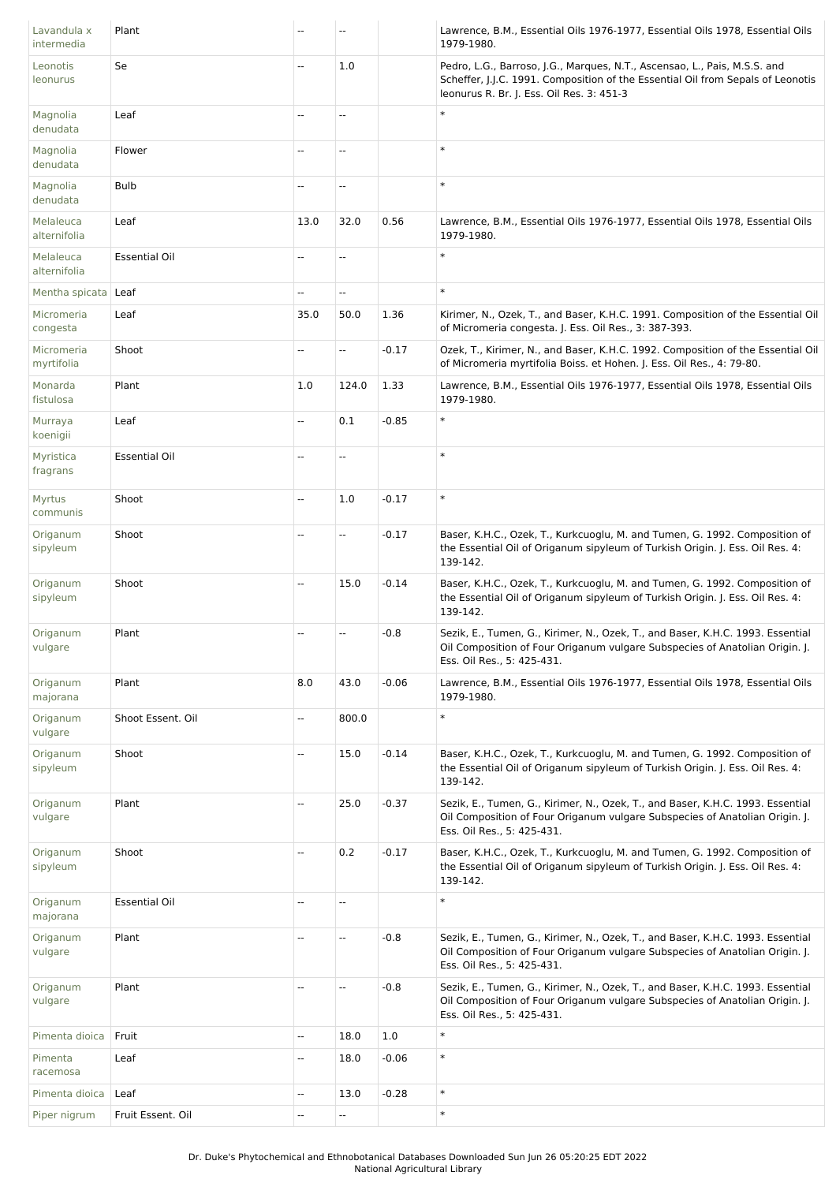| Lavandula x<br>intermedia | Plant                | --                       | $\overline{a}$           |         | Lawrence, B.M., Essential Oils 1976-1977, Essential Oils 1978, Essential Oils<br>1979-1980.                                                                                                               |
|---------------------------|----------------------|--------------------------|--------------------------|---------|-----------------------------------------------------------------------------------------------------------------------------------------------------------------------------------------------------------|
| Leonotis<br>leonurus      | Se                   | --                       | 1.0                      |         | Pedro, L.G., Barroso, J.G., Marques, N.T., Ascensao, L., Pais, M.S.S. and<br>Scheffer, J.J.C. 1991. Composition of the Essential Oil from Sepals of Leonotis<br>leonurus R. Br. J. Ess. Oil Res. 3: 451-3 |
| Magnolia<br>denudata      | Leaf                 | Ξ.                       | ш,                       |         | $\ast$                                                                                                                                                                                                    |
| Magnolia<br>denudata      | Flower               | --                       | $\overline{\phantom{a}}$ |         | $\ast$                                                                                                                                                                                                    |
| Magnolia<br>denudata      | <b>Bulb</b>          | --                       | Ξ.                       |         | $\ast$                                                                                                                                                                                                    |
| Melaleuca<br>alternifolia | Leaf                 | 13.0                     | 32.0                     | 0.56    | Lawrence, B.M., Essential Oils 1976-1977, Essential Oils 1978, Essential Oils<br>1979-1980.                                                                                                               |
| Melaleuca<br>alternifolia | <b>Essential Oil</b> | $\ddotsc$                | $\mathbb{L}$             |         | $\ast$                                                                                                                                                                                                    |
| Mentha spicata   Leaf     |                      | --                       | ш,                       |         | $\ast$                                                                                                                                                                                                    |
| Micromeria<br>congesta    | Leaf                 | 35.0                     | 50.0                     | 1.36    | Kirimer, N., Ozek, T., and Baser, K.H.C. 1991. Composition of the Essential Oil<br>of Micromeria congesta. J. Ess. Oil Res., 3: 387-393.                                                                  |
| Micromeria<br>myrtifolia  | Shoot                | $\ddotsc$                | Ξ.                       | $-0.17$ | Ozek, T., Kirimer, N., and Baser, K.H.C. 1992. Composition of the Essential Oil<br>of Micromeria myrtifolia Boiss. et Hohen. J. Ess. Oil Res., 4: 79-80.                                                  |
| Monarda<br>fistulosa      | Plant                | 1.0                      | 124.0                    | 1.33    | Lawrence, B.M., Essential Oils 1976-1977, Essential Oils 1978, Essential Oils<br>1979-1980.                                                                                                               |
| Murraya<br>koenigii       | Leaf                 | Ξ.                       | 0.1                      | $-0.85$ | $\ast$                                                                                                                                                                                                    |
| Myristica<br>fragrans     | <b>Essential Oil</b> | --                       | u.                       |         | $\ast$                                                                                                                                                                                                    |
| Myrtus<br>communis        | Shoot                | $\overline{a}$           | 1.0                      | $-0.17$ | $\ast$                                                                                                                                                                                                    |
| Origanum<br>sipyleum      | Shoot                | --                       | Ξ.                       | $-0.17$ | Baser, K.H.C., Ozek, T., Kurkcuoglu, M. and Tumen, G. 1992. Composition of<br>the Essential Oil of Origanum sipyleum of Turkish Origin. J. Ess. Oil Res. 4:<br>139-142.                                   |
| Origanum<br>sipyleum      | Shoot                | $\overline{a}$           | 15.0                     | $-0.14$ | Baser, K.H.C., Ozek, T., Kurkcuoglu, M. and Tumen, G. 1992. Composition of<br>the Essential Oil of Origanum sipyleum of Turkish Origin. J. Ess. Oil Res. 4:<br>139-142.                                   |
| Origanum<br>vulgare       | Plant                | --                       | Ξ.                       | $-0.8$  | Sezik, E., Tumen, G., Kirimer, N., Ozek, T., and Baser, K.H.C. 1993. Essential<br>Oil Composition of Four Origanum vulgare Subspecies of Anatolian Origin. J.<br>Ess. Oil Res., 5: 425-431.               |
| Origanum<br>majorana      | Plant                | 8.0                      | 43.0                     | $-0.06$ | Lawrence, B.M., Essential Oils 1976-1977, Essential Oils 1978, Essential Oils<br>1979-1980.                                                                                                               |
| Origanum<br>vulgare       | Shoot Essent. Oil    | $\overline{a}$           | 800.0                    |         | $\ast$                                                                                                                                                                                                    |
| Origanum<br>sipyleum      | Shoot                | Ξ.                       | 15.0                     | $-0.14$ | Baser, K.H.C., Ozek, T., Kurkcuoglu, M. and Tumen, G. 1992. Composition of<br>the Essential Oil of Origanum sipyleum of Turkish Origin. J. Ess. Oil Res. 4:<br>139-142.                                   |
| Origanum<br>vulgare       | Plant                | $\overline{a}$           | 25.0                     | $-0.37$ | Sezik, E., Tumen, G., Kirimer, N., Ozek, T., and Baser, K.H.C. 1993. Essential<br>Oil Composition of Four Origanum vulgare Subspecies of Anatolian Origin. J.<br>Ess. Oil Res., 5: 425-431.               |
| Origanum<br>sipyleum      | Shoot                | $\overline{a}$           | 0.2                      | $-0.17$ | Baser, K.H.C., Ozek, T., Kurkcuoglu, M. and Tumen, G. 1992. Composition of<br>the Essential Oil of Origanum sipyleum of Turkish Origin. J. Ess. Oil Res. 4:<br>139-142.                                   |
| Origanum<br>majorana      | <b>Essential Oil</b> | --                       | Ξ.                       |         | $\ast$                                                                                                                                                                                                    |
| Origanum<br>vulgare       | Plant                | $\overline{\phantom{a}}$ | Ξ.                       | $-0.8$  | Sezik, E., Tumen, G., Kirimer, N., Ozek, T., and Baser, K.H.C. 1993. Essential<br>Oil Composition of Four Origanum vulgare Subspecies of Anatolian Origin. J.<br>Ess. Oil Res., 5: 425-431.               |
| Origanum<br>vulgare       | Plant                | --                       | $\overline{\phantom{a}}$ | $-0.8$  | Sezik, E., Tumen, G., Kirimer, N., Ozek, T., and Baser, K.H.C. 1993. Essential<br>Oil Composition of Four Origanum vulgare Subspecies of Anatolian Origin. J.<br>Ess. Oil Res., 5: 425-431.               |
| Pimenta dioica            | Fruit                | Ξ.                       | 18.0                     | 1.0     | $\ast$                                                                                                                                                                                                    |
| Pimenta<br>racemosa       | Leaf                 | Ξ.                       | 18.0                     | $-0.06$ | $\ast$                                                                                                                                                                                                    |
| Pimenta dioica            | Leaf                 | --                       | 13.0                     | $-0.28$ | $\ast$                                                                                                                                                                                                    |
| Piper nigrum              | Fruit Essent. Oil    | --                       | $\overline{\phantom{a}}$ |         | $\ast$                                                                                                                                                                                                    |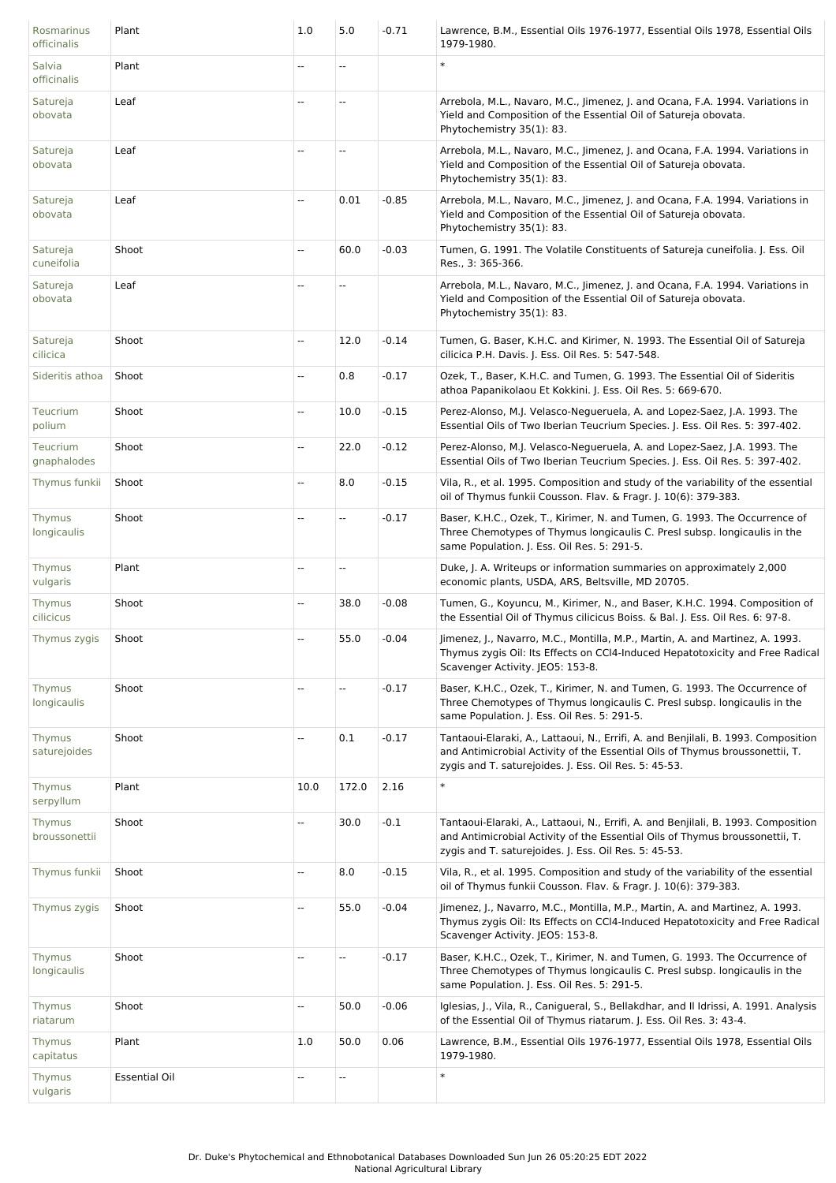| Rosmarinus<br>officinalis  | Plant                | 1.0  | 5.0       | $-0.71$ | Lawrence, B.M., Essential Oils 1976-1977, Essential Oils 1978, Essential Oils<br>1979-1980.                                                                                                                                 |
|----------------------------|----------------------|------|-----------|---------|-----------------------------------------------------------------------------------------------------------------------------------------------------------------------------------------------------------------------------|
| Salvia<br>officinalis      | Plant                | -−   | Щ,        |         | $\ast$                                                                                                                                                                                                                      |
| Satureja<br>obovata        | Leaf                 | --   | Ξ.        |         | Arrebola, M.L., Navaro, M.C., Jimenez, J. and Ocana, F.A. 1994. Variations in<br>Yield and Composition of the Essential Oil of Satureja obovata.<br>Phytochemistry 35(1): 83.                                               |
| Satureja<br>obovata        | Leaf                 | 44   | ÷,        |         | Arrebola, M.L., Navaro, M.C., Jimenez, J. and Ocana, F.A. 1994. Variations in<br>Yield and Composition of the Essential Oil of Satureja obovata.<br>Phytochemistry 35(1): 83.                                               |
| Satureja<br>obovata        | Leaf                 | --   | 0.01      | $-0.85$ | Arrebola, M.L., Navaro, M.C., Jimenez, J. and Ocana, F.A. 1994. Variations in<br>Yield and Composition of the Essential Oil of Satureja obovata.<br>Phytochemistry 35(1): 83.                                               |
| Satureja<br>cuneifolia     | Shoot                | --   | 60.0      | $-0.03$ | Tumen, G. 1991. The Volatile Constituents of Satureja cuneifolia. J. Ess. Oil<br>Res., 3: 365-366.                                                                                                                          |
| Satureja<br>obovata        | Leaf                 |      | --        |         | Arrebola, M.L., Navaro, M.C., Jimenez, J. and Ocana, F.A. 1994. Variations in<br>Yield and Composition of the Essential Oil of Satureja obovata.<br>Phytochemistry 35(1): 83.                                               |
| Satureja<br>cilicica       | Shoot                | ÷.   | 12.0      | $-0.14$ | Tumen, G. Baser, K.H.C. and Kirimer, N. 1993. The Essential Oil of Satureja<br>cilicica P.H. Davis. J. Ess. Oil Res. 5: 547-548.                                                                                            |
| Sideritis athoa            | Shoot                | --   | 0.8       | $-0.17$ | Ozek, T., Baser, K.H.C. and Tumen, G. 1993. The Essential Oil of Sideritis<br>athoa Papanikolaou Et Kokkini. J. Ess. Oil Res. 5: 669-670.                                                                                   |
| Teucrium<br>polium         | Shoot                | --   | 10.0      | $-0.15$ | Perez-Alonso, M.J. Velasco-Negueruela, A. and Lopez-Saez, J.A. 1993. The<br>Essential Oils of Two Iberian Teucrium Species. J. Ess. Oil Res. 5: 397-402.                                                                    |
| Teucrium<br>gnaphalodes    | Shoot                | --   | 22.0      | $-0.12$ | Perez-Alonso, M.J. Velasco-Negueruela, A. and Lopez-Saez, J.A. 1993. The<br>Essential Oils of Two Iberian Teucrium Species. J. Ess. Oil Res. 5: 397-402.                                                                    |
| Thymus funkii              | Shoot                |      | 8.0       | $-0.15$ | Vila, R., et al. 1995. Composition and study of the variability of the essential<br>oil of Thymus funkii Cousson. Flav. & Fragr. J. 10(6): 379-383.                                                                         |
| Thymus<br>longicaulis      | Shoot                | --   | Ξ.        | $-0.17$ | Baser, K.H.C., Ozek, T., Kirimer, N. and Tumen, G. 1993. The Occurrence of<br>Three Chemotypes of Thymus longicaulis C. Presl subsp. longicaulis in the<br>same Population. J. Ess. Oil Res. 5: 291-5.                      |
| Thymus<br>vulgaris         | Plant                | --   | $\ddotsc$ |         | Duke, J. A. Writeups or information summaries on approximately 2,000<br>economic plants, USDA, ARS, Beltsville, MD 20705.                                                                                                   |
| Thymus<br>cilicicus        | Shoot                | Ξ.   | 38.0      | $-0.08$ | Tumen, G., Koyuncu, M., Kirimer, N., and Baser, K.H.C. 1994. Composition of<br>the Essential Oil of Thymus cilicicus Boiss. & Bal. J. Ess. Oil Res. 6: 97-8.                                                                |
| Thymus zygis               | Shoot                | 44   | 55.0      | $-0.04$ | Jimenez, J., Navarro, M.C., Montilla, M.P., Martin, A. and Martinez, A. 1993.<br>Thymus zygis Oil: Its Effects on CCI4-Induced Hepatotoxicity and Free Radical<br>Scavenger Activity. JEO5: 153-8.                          |
| Thymus<br>longicaulis      | Shoot                | --   | --        | $-0.17$ | Baser, K.H.C., Ozek, T., Kirimer, N. and Tumen, G. 1993. The Occurrence of<br>Three Chemotypes of Thymus longicaulis C. Presl subsp. longicaulis in the<br>same Population. J. Ess. Oil Res. 5: 291-5.                      |
| Thymus<br>saturejoides     | Shoot                | --   | 0.1       | $-0.17$ | Tantaoui-Elaraki, A., Lattaoui, N., Errifi, A. and Benjilali, B. 1993. Composition<br>and Antimicrobial Activity of the Essential Oils of Thymus broussonettii, T.<br>zygis and T. saturejoides. J. Ess. Oil Res. 5: 45-53. |
| Thymus<br>serpyllum        | Plant                | 10.0 | 172.0     | 2.16    | $\ast$                                                                                                                                                                                                                      |
| Thymus<br>broussonettii    | Shoot                | --   | 30.0      | $-0.1$  | Tantaoui-Elaraki, A., Lattaoui, N., Errifi, A. and Benjilali, B. 1993. Composition<br>and Antimicrobial Activity of the Essential Oils of Thymus broussonettii, T.<br>zygis and T. saturejoides. J. Ess. Oil Res. 5: 45-53. |
| Thymus funkii              | Shoot                | --   | 8.0       | $-0.15$ | Vila, R., et al. 1995. Composition and study of the variability of the essential<br>oil of Thymus funkii Cousson. Flav. & Fragr. J. 10(6): 379-383.                                                                         |
| Thymus zygis               | Shoot                | --   | 55.0      | $-0.04$ | Jimenez, J., Navarro, M.C., Montilla, M.P., Martin, A. and Martinez, A. 1993.<br>Thymus zygis Oil: Its Effects on CCI4-Induced Hepatotoxicity and Free Radical<br>Scavenger Activity. JEO5: 153-8.                          |
| Thymus<br>longicaulis      | Shoot                | --   | --        | $-0.17$ | Baser, K.H.C., Ozek, T., Kirimer, N. and Tumen, G. 1993. The Occurrence of<br>Three Chemotypes of Thymus longicaulis C. Presl subsp. longicaulis in the<br>same Population. J. Ess. Oil Res. 5: 291-5.                      |
| Thymus<br>riatarum         | Shoot                |      | 50.0      | $-0.06$ | Iglesias, J., Vila, R., Canigueral, S., Bellakdhar, and II Idrissi, A. 1991. Analysis<br>of the Essential Oil of Thymus riatarum. J. Ess. Oil Res. 3: 43-4.                                                                 |
| <b>Thymus</b><br>capitatus | Plant                | 1.0  | 50.0      | 0.06    | Lawrence, B.M., Essential Oils 1976-1977, Essential Oils 1978, Essential Oils<br>1979-1980.                                                                                                                                 |
| Thymus<br>vulgaris         | <b>Essential Oil</b> | --   | ۵.        |         | $\ast$                                                                                                                                                                                                                      |